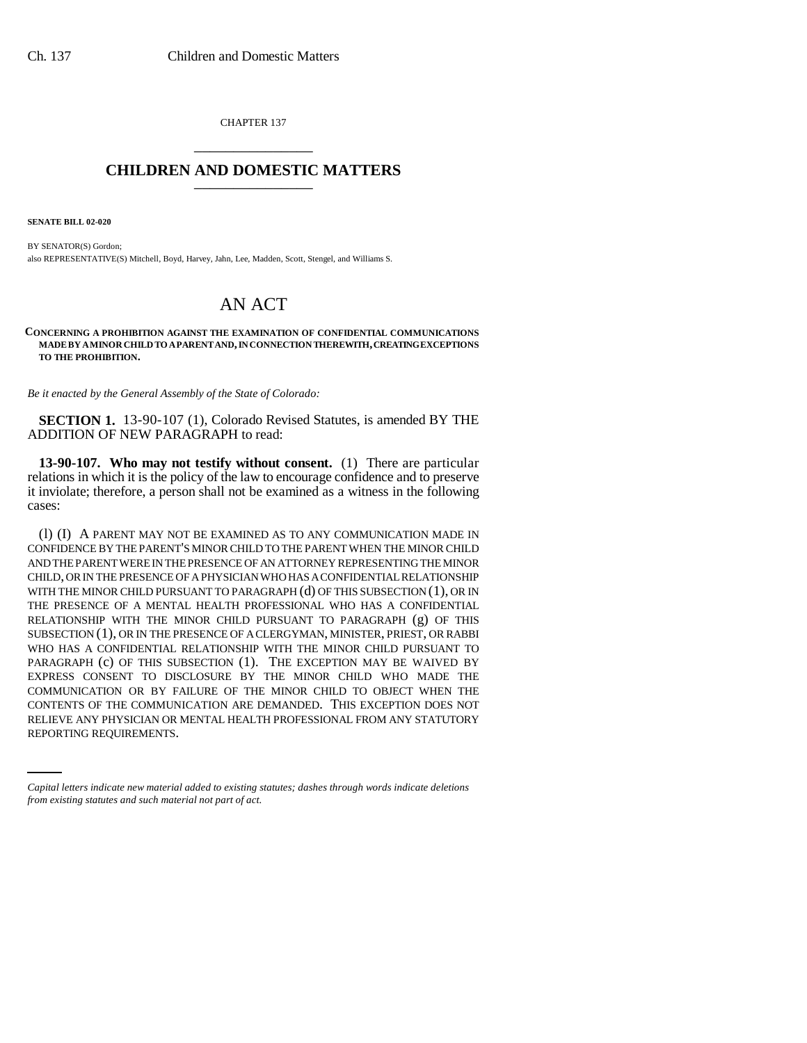CHAPTER 137 \_\_\_\_\_\_\_\_\_\_\_\_\_\_\_

## **CHILDREN AND DOMESTIC MATTERS** \_\_\_\_\_\_\_\_\_\_\_\_\_\_\_

**SENATE BILL 02-020**

BY SENATOR(S) Gordon; also REPRESENTATIVE(S) Mitchell, Boyd, Harvey, Jahn, Lee, Madden, Scott, Stengel, and Williams S.

## AN ACT

## **CONCERNING A PROHIBITION AGAINST THE EXAMINATION OF CONFIDENTIAL COMMUNICATIONS MADE BY A MINOR CHILD TO A PARENT AND, IN CONNECTION THEREWITH, CREATING EXCEPTIONS TO THE PROHIBITION.**

*Be it enacted by the General Assembly of the State of Colorado:*

**SECTION 1.** 13-90-107 (1), Colorado Revised Statutes, is amended BY THE ADDITION OF NEW PARAGRAPH to read:

**13-90-107. Who may not testify without consent.** (1) There are particular relations in which it is the policy of the law to encourage confidence and to preserve it inviolate; therefore, a person shall not be examined as a witness in the following cases:

CONTENTS OF THE COMMUNICATION ARE DEMANDED. THIS EXCEPTION DOES NOT (l) (I) A PARENT MAY NOT BE EXAMINED AS TO ANY COMMUNICATION MADE IN CONFIDENCE BY THE PARENT'S MINOR CHILD TO THE PARENT WHEN THE MINOR CHILD AND THE PARENT WERE IN THE PRESENCE OF AN ATTORNEY REPRESENTING THE MINOR CHILD, OR IN THE PRESENCE OF A PHYSICIAN WHO HAS A CONFIDENTIAL RELATIONSHIP WITH THE MINOR CHILD PURSUANT TO PARAGRAPH (d) OF THIS SUBSECTION (1), OR IN THE PRESENCE OF A MENTAL HEALTH PROFESSIONAL WHO HAS A CONFIDENTIAL RELATIONSHIP WITH THE MINOR CHILD PURSUANT TO PARAGRAPH (g) OF THIS SUBSECTION (1), OR IN THE PRESENCE OF A CLERGYMAN, MINISTER, PRIEST, OR RABBI WHO HAS A CONFIDENTIAL RELATIONSHIP WITH THE MINOR CHILD PURSUANT TO PARAGRAPH (c) OF THIS SUBSECTION (1). THE EXCEPTION MAY BE WAIVED BY EXPRESS CONSENT TO DISCLOSURE BY THE MINOR CHILD WHO MADE THE COMMUNICATION OR BY FAILURE OF THE MINOR CHILD TO OBJECT WHEN THE RELIEVE ANY PHYSICIAN OR MENTAL HEALTH PROFESSIONAL FROM ANY STATUTORY REPORTING REQUIREMENTS.

*Capital letters indicate new material added to existing statutes; dashes through words indicate deletions from existing statutes and such material not part of act.*